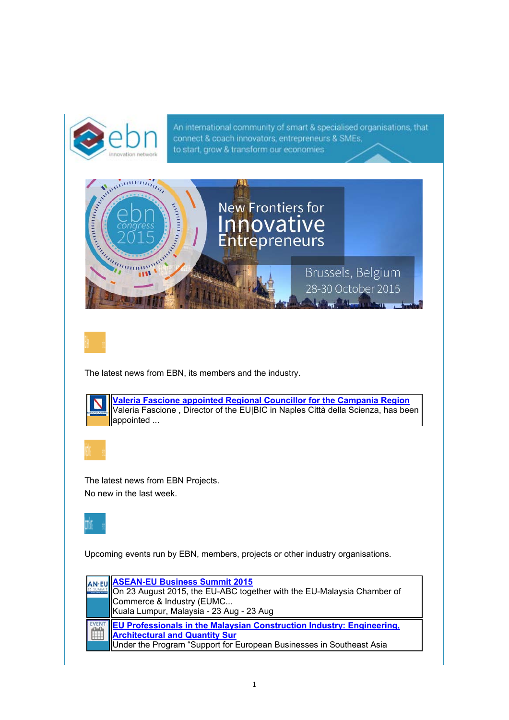